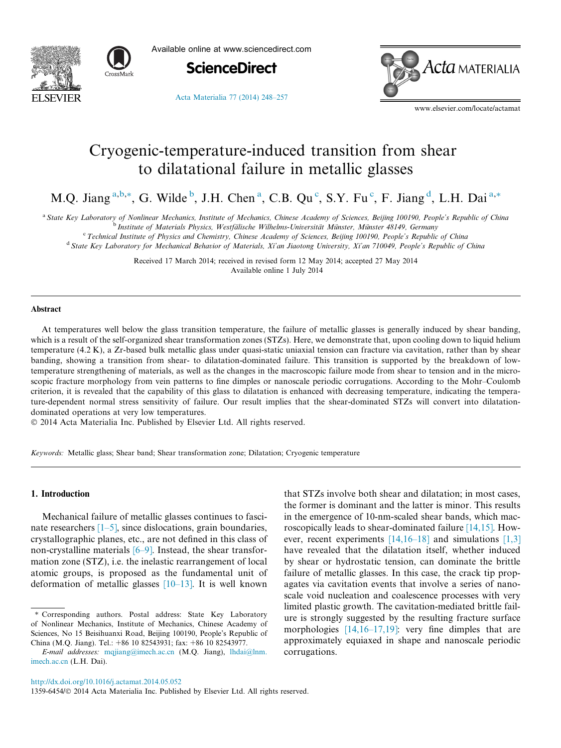



Available online at www.sciencedirect.com



[Acta Materialia 77 \(2014\) 248–257](http://dx.doi.org/10.1016/j.actamat.2014.05.052)

Acta MATERIALIA

www.elsevier.com/locate/actamat

## Cryogenic-temperature-induced transition from shear to dilatational failure in metallic glasses

M.Q. Jiang <sup>a,b,\*</sup>, G. Wilde <sup>b</sup>, J.H. Chen <sup>a</sup>, C.B. Qu <sup>c</sup>, S.Y. Fu c, F. Jiang <sup>d</sup>, L.H. Dai <sup>a,\*</sup>

a State Key Laboratory of Nonlinear Mechanics, Institute of Mechanics, Chinese Academy of Sciences, Beijing 100190, People's Republic of China

b Institute of Materials Physics, Westfälische Wilhelms-Universität Münster, Münster 48149, Germany<br>C Technical Institute of Physics and Chamistyy Chinese Academy of Sciences, Beijing 100100, People's Penyblic

Technical Institute of Physics and Chemistry, Chinese Academy of Sciences, Beijing 100190, People's Republic of China <sup>d</sup> State Key Laboratory for Mechanical Behavior of Materials, Xi'an Jiaotong University, Xi'an 710049, People's Republic of China

> Received 17 March 2014; received in revised form 12 May 2014; accepted 27 May 2014 Available online 1 July 2014

#### Abstract

At temperatures well below the glass transition temperature, the failure of metallic glasses is generally induced by shear banding, which is a result of the self-organized shear transformation zones (STZs). Here, we demonstrate that, upon cooling down to liquid helium temperature (4.2 K), a Zr-based bulk metallic glass under quasi-static uniaxial tension can fracture via cavitation, rather than by shear banding, showing a transition from shear- to dilatation-dominated failure. This transition is supported by the breakdown of lowtemperature strengthening of materials, as well as the changes in the macroscopic failure mode from shear to tension and in the microscopic fracture morphology from vein patterns to fine dimples or nanoscale periodic corrugations. According to the Mohr–Coulomb criterion, it is revealed that the capability of this glass to dilatation is enhanced with decreasing temperature, indicating the temperature-dependent normal stress sensitivity of failure. Our result implies that the shear-dominated STZs will convert into dilatationdominated operations at very low temperatures.

- 2014 Acta Materialia Inc. Published by Elsevier Ltd. All rights reserved.

Keywords: Metallic glass; Shear band; Shear transformation zone; Dilatation; Cryogenic temperature

#### 1. Introduction

Mechanical failure of metallic glasses continues to fascinate researchers  $[1-5]$ , since dislocations, grain boundaries, crystallographic planes, etc., are not defined in this class of non-crystalline materials  $[6–9]$ . Instead, the shear transformation zone (STZ), i.e. the inelastic rearrangement of local atomic groups, is proposed as the fundamental unit of deformation of metallic glasses  $[10-13]$ . It is well known

that STZs involve both shear and dilatation; in most cases, the former is dominant and the latter is minor. This results in the emergence of 10-nm-scaled shear bands, which macroscopically leads to shear-dominated failure [\[14,15\]](#page--1-0). However, recent experiments  $[14,16-18]$  and simulations  $[1,3]$ have revealed that the dilatation itself, whether induced by shear or hydrostatic tension, can dominate the brittle failure of metallic glasses. In this case, the crack tip propagates via cavitation events that involve a series of nanoscale void nucleation and coalescence processes with very limited plastic growth. The cavitation-mediated brittle failure is strongly suggested by the resulting fracture surface morphologies [\[14,16–17,19\]:](#page--1-0) very fine dimples that are approximately equiaxed in shape and nanoscale periodic corrugations.

1359-6454/© 2014 Acta Materialia Inc. Published by Elsevier Ltd. All rights reserved.

<sup>⇑</sup> Corresponding authors. Postal address: State Key Laboratory of Nonlinear Mechanics, Institute of Mechanics, Chinese Academy of Sciences, No 15 Beisihuanxi Road, Beijing 100190, People's Republic of China (M.Q. Jiang). Tel.: +86 10 82543931; fax: +86 10 82543977.

E-mail addresses: [mqjiang@imech.ac.cn](mailto:mqjiang@imech.ac.cn) (M.Q. Jiang), [lhdai@lnm.](mailto:lhdai@lnm.imech.ac.cn) [imech.ac.cn](mailto:lhdai@lnm.imech.ac.cn) (L.H. Dai).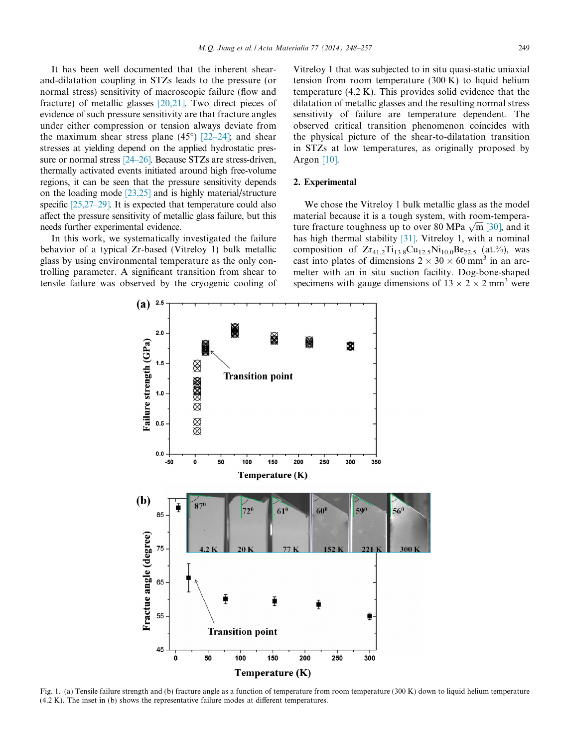It has been well documented that the inherent shearand-dilatation coupling in STZs leads to the pressure (or normal stress) sensitivity of macroscopic failure (flow and fracture) of metallic glasses [\[20,21\].](#page--1-0) Two direct pieces of evidence of such pressure sensitivity are that fracture angles under either compression or tension always deviate from the maximum shear stress plane  $(45^{\circ})$  [\[22–24\];](#page--1-0) and shear stresses at yielding depend on the applied hydrostatic pressure or normal stress [\[24–26\].](#page--1-0) Because STZs are stress-driven, thermally activated events initiated around high free-volume regions, it can be seen that the pressure sensitivity depends on the loading mode [\[23,25\]](#page--1-0) and is highly material/structure specific [\[25,27–29\].](#page--1-0) It is expected that temperature could also affect the pressure sensitivity of metallic glass failure, but this needs further experimental evidence.

In this work, we systematically investigated the failure behavior of a typical Zr-based (Vitreloy 1) bulk metallic glass by using environmental temperature as the only controlling parameter. A significant transition from shear to tensile failure was observed by the cryogenic cooling of Vitreloy 1 that was subjected to in situ quasi-static uniaxial tension from room temperature (300 K) to liquid helium temperature (4.2 K). This provides solid evidence that the dilatation of metallic glasses and the resulting normal stress sensitivity of failure are temperature dependent. The observed critical transition phenomenon coincides with the physical picture of the shear-to-dilatation transition in STZs at low temperatures, as originally proposed by Argon [\[10\].](#page--1-0)

### 2. Experimental

We chose the Vitreloy 1 bulk metallic glass as the model material because it is a tough system, with room-temperamaterial because it is a tough system, while following turn fracture toughness up to over 80 MPa  $\sqrt{m}$  [\[30\],](#page--1-0) and it has high thermal stability [\[31\]](#page--1-0). Vitreloy 1, with a nominal composition of  $Zr_{41.2}Ti_{13.8}Cu_{12.5}Ni_{10.0}Be_{22.5}$  (at.%), was cast into plates of dimensions  $2 \times 30 \times 60$  mm<sup>3</sup> in an arcmelter with an in situ suction facility. Dog-bone-shaped specimens with gauge dimensions of  $13 \times 2 \times 2$  mm<sup>3</sup> were



Fig. 1. (a) Tensile failure strength and (b) fracture angle as a function of temperature from room temperature (300 K) down to liquid helium temperature (4.2 K). The inset in (b) shows the representative failure modes at different temperatures.